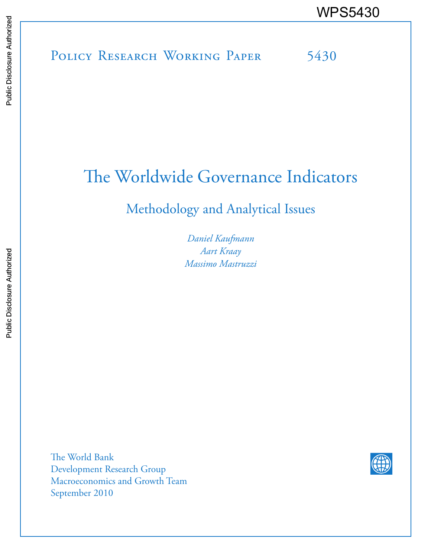POLICY RESEARCH WORKING PAPER 5430 WPS5430<br>
MESS430<br>
MESSEARCH WORKING PAPER<br>
SERIES 5430<br>
SERIES 5430

# The Worldwide Governance Indicators

## Methodology and Analytical Issues

*Daniel Kaufmann Aart Kraay Massimo Mastruzzi*

The World Bank Development Research Group Macroeconomics and Growth Team September 2010

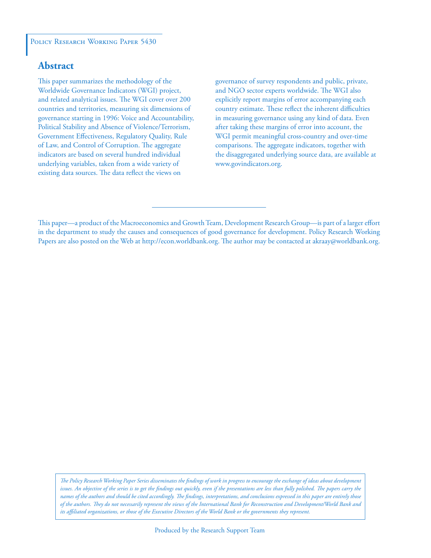#### POLICY RESEARCH WORKING PAPER 5430

## **Abstract**

This paper summarizes the methodology of the Worldwide Governance Indicators (WGI) project, and related analytical issues. The WGI cover over 200 countries and territories, measuring six dimensions of governance starting in 1996: Voice and Accountability, Political Stability and Absence of Violence/Terrorism, Government Effectiveness, Regulatory Quality, Rule of Law, and Control of Corruption. The aggregate indicators are based on several hundred individual underlying variables, taken from a wide variety of existing data sources. The data reflect the views on

governance of survey respondents and public, private, and NGO sector experts worldwide. The WGI also explicitly report margins of error accompanying each country estimate. These reflect the inherent difficulties in measuring governance using any kind of data. Even after taking these margins of error into account, the WGI permit meaningful cross-country and over-time comparisons. The aggregate indicators, together with the disaggregated underlying source data, are available at www.govindicators.org.

This paper—a product of the Macroeconomics and Growth Team, Development Research Group—is part of a larger effort in the department to study the causes and consequences of good governance for development. Policy Research Working Papers are also posted on the Web at http://econ.worldbank.org. The author may be contacted at akraay@worldbank.org.

*The Policy Research Working Paper Series disseminates the findings of work in progress to encourage the exchange of ideas about development*  issues. An objective of the series is to get the findings out quickly, even if the presentations are less than fully polished. The papers carry the *names of the authors and should be cited accordingly. The findings, interpretations, and conclusions expressed in this paper are entirely those of the authors. They do not necessarily represent the views of the International Bank for Reconstruction and Development/World Bank and its affiliated organizations, or those of the Executive Directors of the World Bank or the governments they represent.*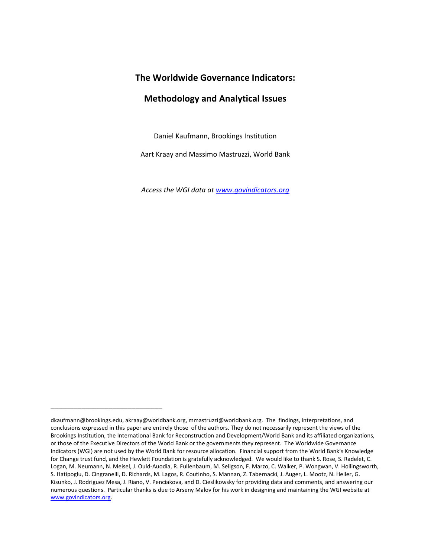## **The Worldwide Governance Indicators:**

### **Methodology and Analytical Issues**

Daniel Kaufmann, Brookings Institution

Aart Kraay and Massimo Mastruzzi, World Bank

*Access the WGI data at www.govindicators.org* 

\_\_\_\_\_\_\_\_\_\_\_\_\_\_\_\_\_\_\_\_\_\_\_\_\_\_\_\_\_

dkaufmann@brookings.edu, akraay@worldbank.org, mmastruzzi@worldbank.org. The findings, interpretations, and conclusions expressed in this paper are entirely those of the authors. They do not necessarily represent the views of the Brookings Institution, the International Bank for Reconstruction and Development/World Bank and its affiliated organizations, or those of the Executive Directors of the World Bank or the governments they represent. The Worldwide Governance Indicators (WGI) are not used by the World Bank for resource allocation. Financial support from the World Bank's Knowledge for Change trust fund, and the Hewlett Foundation is gratefully acknowledged. We would like to thank S. Rose, S. Radelet, C. Logan, M. Neumann, N. Meisel, J. Ould‐Auodia, R. Fullenbaum, M. Seligson, F. Marzo, C. Walker, P. Wongwan, V. Hollingsworth, S. Hatipoglu, D. Cingranelli, D. Richards, M. Lagos, R. Coutinho, S. Mannan, Z. Tabernacki, J. Auger, L. Mootz, N. Heller, G. Kisunko, J. Rodriguez Mesa, J. Riano, V. Penciakova, and D. Cieslikowsky for providing data and comments, and answering our numerous questions. Particular thanks is due to Arseny Malov for his work in designing and maintaining the WGI website at www.govindicators.org.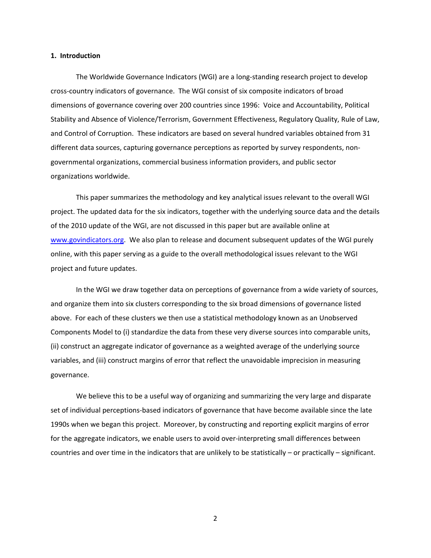#### **1. Introduction**

The Worldwide Governance Indicators (WGI) are a long‐standing research project to develop cross‐country indicators of governance. The WGI consist of six composite indicators of broad dimensions of governance covering over 200 countries since 1996: Voice and Accountability, Political Stability and Absence of Violence/Terrorism, Government Effectiveness, Regulatory Quality, Rule of Law, and Control of Corruption. These indicators are based on several hundred variables obtained from 31 different data sources, capturing governance perceptions as reported by survey respondents, non‐ governmental organizations, commercial business information providers, and public sector organizations worldwide.

This paper summarizes the methodology and key analytical issues relevant to the overall WGI project. The updated data for the six indicators, together with the underlying source data and the details of the 2010 update of the WGI, are not discussed in this paper but are available online at www.govindicators.org. We also plan to release and document subsequent updates of the WGI purely online, with this paper serving as a guide to the overall methodological issues relevant to the WGI project and future updates.

In the WGI we draw together data on perceptions of governance from a wide variety of sources, and organize them into six clusters corresponding to the six broad dimensions of governance listed above. For each of these clusters we then use a statistical methodology known as an Unobserved Components Model to (i) standardize the data from these very diverse sources into comparable units, (ii) construct an aggregate indicator of governance as a weighted average of the underlying source variables, and (iii) construct margins of error that reflect the unavoidable imprecision in measuring governance.

We believe this to be a useful way of organizing and summarizing the very large and disparate set of individual perceptions‐based indicators of governance that have become available since the late 1990s when we began this project. Moreover, by constructing and reporting explicit margins of error for the aggregate indicators, we enable users to avoid over‐interpreting small differences between countries and over time in the indicators that are unlikely to be statistically – or practically – significant.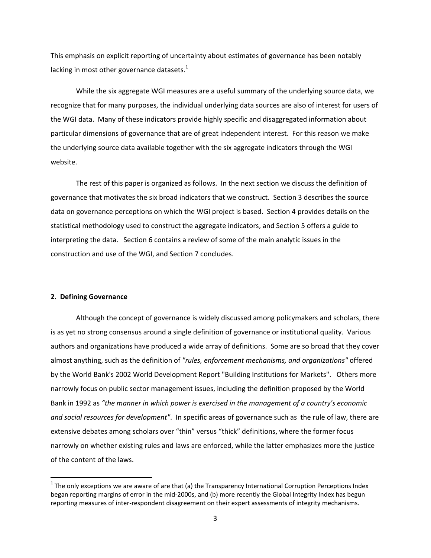This emphasis on explicit reporting of uncertainty about estimates of governance has been notably lacking in most other governance datasets. $<sup>1</sup>$ </sup>

While the six aggregate WGI measures are a useful summary of the underlying source data, we recognize that for many purposes, the individual underlying data sources are also of interest for users of the WGI data. Many of these indicators provide highly specific and disaggregated information about particular dimensions of governance that are of great independent interest. For this reason we make the underlying source data available together with the six aggregate indicators through the WGI website.

The rest of this paper is organized as follows. In the next section we discuss the definition of governance that motivates the six broad indicators that we construct. Section 3 describes the source data on governance perceptions on which the WGI project is based. Section 4 provides details on the statistical methodology used to construct the aggregate indicators, and Section 5 offers a guide to interpreting the data. Section 6 contains a review of some of the main analytic issues in the construction and use of the WGI, and Section 7 concludes.

#### **2. Defining Governance**

Although the concept of governance is widely discussed among policymakers and scholars, there is as yet no strong consensus around a single definition of governance or institutional quality. Various authors and organizations have produced a wide array of definitions. Some are so broad that they cover almost anything, such as the definition of *"rules, enforcement mechanisms, and organizations"* offered by the World Bank's 2002 World Development Report "Building Institutions for Markets". Others more narrowly focus on public sector management issues, including the definition proposed by the World Bank in 1992 as *"the manner in which power is exercised in the management of a country's economic and social resources for development"*. In specific areas of governance such as the rule of law, there are extensive debates among scholars over "thin" versus "thick" definitions, where the former focus narrowly on whether existing rules and laws are enforced, while the latter emphasizes more the justice of the content of the laws.

 $1$  The only exceptions we are aware of are that (a) the Transparency International Corruption Perceptions Index began reporting margins of error in the mid-2000s, and (b) more recently the Global Integrity Index has begun reporting measures of inter-respondent disagreement on their expert assessments of integrity mechanisms.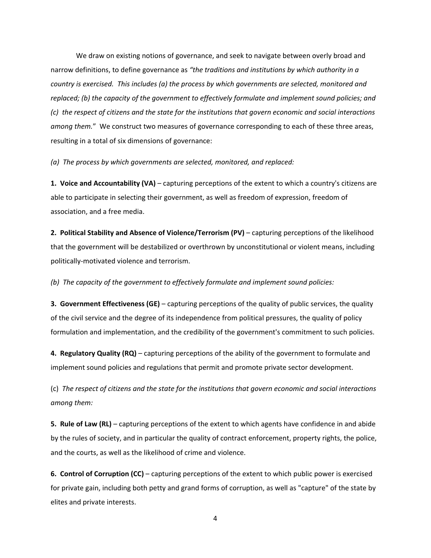We draw on existing notions of governance, and seek to navigate between overly broad and narrow definitions, to define governance as *"the traditions and institutions by which authority in a country is exercised. This includes (a) the process by which governments are selected, monitored and replaced; (b) the capacity of the government to effectively formulate and implement sound policies; and* (c) the respect of citizens and the state for the institutions that govern economic and social interactions *among them.*" We construct two measures of governance corresponding to each of these three areas, resulting in a total of six dimensions of governance:

*(a) The process by which governments are selected, monitored, and replaced:*

**1. Voice and Accountability (VA)** – capturing perceptions of the extent to which a country's citizens are able to participate in selecting their government, as well as freedom of expression, freedom of association, and a free media.

**2. Political Stability and Absence of Violence/Terrorism (PV)** – capturing perceptions of the likelihood that the government will be destabilized or overthrown by unconstitutional or violent means, including politically‐motivated violence and terrorism.

*(b) The capacity of the government to effectively formulate and implement sound policies:*

**3. Government Effectiveness (GE)** – capturing perceptions of the quality of public services, the quality of the civil service and the degree of its independence from political pressures, the quality of policy formulation and implementation, and the credibility of the government's commitment to such policies.

**4. Regulatory Quality (RQ)** – capturing perceptions of the ability of the government to formulate and implement sound policies and regulations that permit and promote private sector development.

(c) *The respect of citizens and the state for the institutions that govern economic and social interactions among them:*

**5. Rule of Law (RL)** – capturing perceptions of the extent to which agents have confidence in and abide by the rules of society, and in particular the quality of contract enforcement, property rights, the police, and the courts, as well as the likelihood of crime and violence.

**6. Control of Corruption (CC)** – capturing perceptions of the extent to which public power is exercised for private gain, including both petty and grand forms of corruption, as well as "capture" of the state by elites and private interests.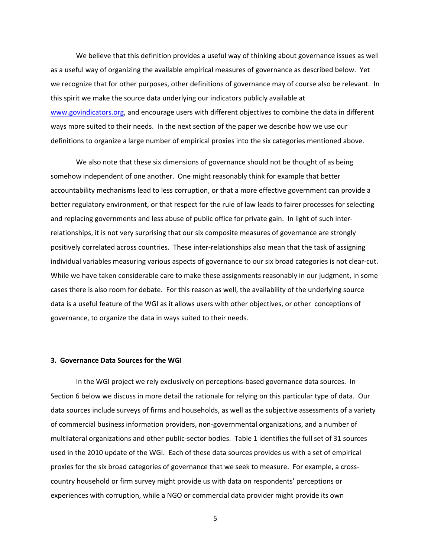We believe that this definition provides a useful way of thinking about governance issues as well as a useful way of organizing the available empirical measures of governance as described below. Yet we recognize that for other purposes, other definitions of governance may of course also be relevant. In this spirit we make the source data underlying our indicators publicly available at www.govindicators.org, and encourage users with different objectives to combine the data in different ways more suited to their needs. In the next section of the paper we describe how we use our definitions to organize a large number of empirical proxies into the six categories mentioned above.

We also note that these six dimensions of governance should not be thought of as being somehow independent of one another. One might reasonably think for example that better accountability mechanisms lead to less corruption, or that a more effective government can provide a better regulatory environment, or that respect for the rule of law leads to fairer processes for selecting and replacing governments and less abuse of public office for private gain. In light of such inter‐ relationships, it is not very surprising that our six composite measures of governance are strongly positively correlated across countries. These inter-relationships also mean that the task of assigning individual variables measuring various aspects of governance to our six broad categories is not clear-cut. While we have taken considerable care to make these assignments reasonably in our judgment, in some cases there is also room for debate. For this reason as well, the availability of the underlying source data is a useful feature of the WGI as it allows users with other objectives, or other conceptions of governance, to organize the data in ways suited to their needs.

#### **3. Governance Data Sources for the WGI**

In the WGI project we rely exclusively on perceptions-based governance data sources. In Section 6 below we discuss in more detail the rationale for relying on this particular type of data. Our data sources include surveys of firms and households, as well as the subjective assessments of a variety of commercial business information providers, non‐governmental organizations, and a number of multilateral organizations and other public‐sector bodies. Table 1 identifies the full set of 31 sources used in the 2010 update of the WGI. Each of these data sources provides us with a set of empirical proxies for the six broad categories of governance that we seek to measure. For example, a cross‐ country household or firm survey might provide us with data on respondents' perceptions or experiences with corruption, while a NGO or commercial data provider might provide its own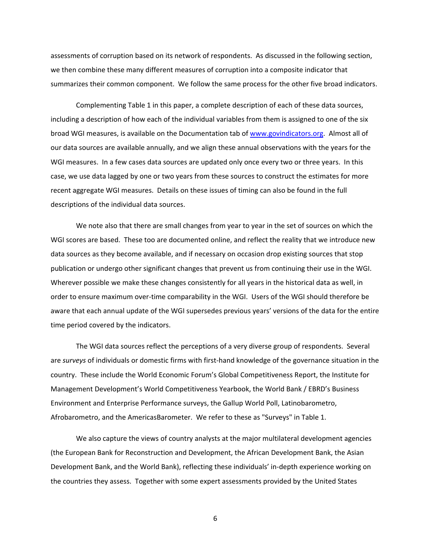assessments of corruption based on its network of respondents. As discussed in the following section, we then combine these many different measures of corruption into a composite indicator that summarizes their common component. We follow the same process for the other five broad indicators.

Complementing Table 1 in this paper, a complete description of each of these data sources, including a description of how each of the individual variables from them is assigned to one of the six broad WGI measures, is available on the Documentation tab of www.govindicators.org. Almost all of our data sources are available annually, and we align these annual observations with the years for the WGI measures. In a few cases data sources are updated only once every two or three years. In this case, we use data lagged by one or two years from these sources to construct the estimates for more recent aggregate WGI measures. Details on these issues of timing can also be found in the full descriptions of the individual data sources.

We note also that there are small changes from year to year in the set of sources on which the WGI scores are based. These too are documented online, and reflect the reality that we introduce new data sources as they become available, and if necessary on occasion drop existing sources that stop publication or undergo other significant changes that prevent us from continuing their use in the WGI. Wherever possible we make these changes consistently for all years in the historical data as well, in order to ensure maximum over‐time comparability in the WGI. Users of the WGI should therefore be aware that each annual update of the WGI supersedes previous years' versions of the data for the entire time period covered by the indicators.

The WGI data sources reflect the perceptions of a very diverse group of respondents. Several are *surveys* of individuals or domestic firms with first-hand knowledge of the governance situation in the country. These include the World Economic Forum's Global Competitiveness Report, the Institute for Management Development's World Competitiveness Yearbook, the World Bank / EBRD's Business Environment and Enterprise Performance surveys, the Gallup World Poll, Latinobarometro, Afrobarometro, and the AmericasBarometer. We refer to these as "Surveys" in Table 1.

We also capture the views of country analysts at the major multilateral development agencies (the European Bank for Reconstruction and Development, the African Development Bank, the Asian Development Bank, and the World Bank), reflecting these individuals' in‐depth experience working on the countries they assess. Together with some expert assessments provided by the United States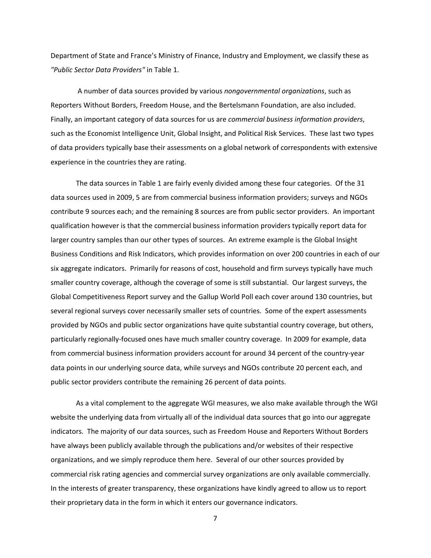Department of State and France's Ministry of Finance, Industry and Employment, we classify these as *"Public Sector Data Providers"* in Table 1.

A number of data sources provided by various *nongovernmental organizations*, such as Reporters Without Borders, Freedom House, and the Bertelsmann Foundation, are also included. Finally, an important category of data sources for us are *commercial business information providers*, such as the Economist Intelligence Unit, Global Insight, and Political Risk Services. These last two types of data providers typically base their assessments on a global network of correspondents with extensive experience in the countries they are rating.

The data sources in Table 1 are fairly evenly divided among these four categories. Of the 31 data sources used in 2009, 5 are from commercial business information providers; surveys and NGOs contribute 9 sources each; and the remaining 8 sources are from public sector providers. An important qualification however is that the commercial business information providers typically report data for larger country samples than our other types of sources. An extreme example is the Global Insight Business Conditions and Risk Indicators, which provides information on over 200 countries in each of our six aggregate indicators. Primarily for reasons of cost, household and firm surveys typically have much smaller country coverage, although the coverage of some is still substantial. Our largest surveys, the Global Competitiveness Report survey and the Gallup World Poll each cover around 130 countries, but several regional surveys cover necessarily smaller sets of countries. Some of the expert assessments provided by NGOs and public sector organizations have quite substantial country coverage, but others, particularly regionally‐focused ones have much smaller country coverage. In 2009 for example, data from commercial business information providers account for around 34 percent of the country‐year data points in our underlying source data, while surveys and NGOs contribute 20 percent each, and public sector providers contribute the remaining 26 percent of data points.

As a vital complement to the aggregate WGI measures, we also make available through the WGI website the underlying data from virtually all of the individual data sources that go into our aggregate indicators. The majority of our data sources, such as Freedom House and Reporters Without Borders have always been publicly available through the publications and/or websites of their respective organizations, and we simply reproduce them here. Several of our other sources provided by commercial risk rating agencies and commercial survey organizations are only available commercially. In the interests of greater transparency, these organizations have kindly agreed to allow us to report their proprietary data in the form in which it enters our governance indicators.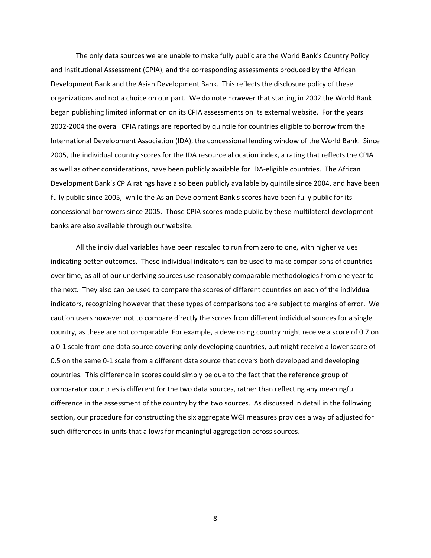The only data sources we are unable to make fully public are the World Bank's Country Policy and Institutional Assessment (CPIA), and the corresponding assessments produced by the African Development Bank and the Asian Development Bank. This reflects the disclosure policy of these organizations and not a choice on our part. We do note however that starting in 2002 the World Bank began publishing limited information on its CPIA assessments on its external website. For the years 2002‐2004 the overall CPIA ratings are reported by quintile for countries eligible to borrow from the International Development Association (IDA), the concessional lending window of the World Bank. Since 2005, the individual country scores for the IDA resource allocation index, a rating that reflects the CPIA as well as other considerations, have been publicly available for IDA‐eligible countries. The African Development Bank's CPIA ratings have also been publicly available by quintile since 2004, and have been fully public since 2005, while the Asian Development Bank's scores have been fully public for its concessional borrowers since 2005. Those CPIA scores made public by these multilateral development banks are also available through our website.

All the individual variables have been rescaled to run from zero to one, with higher values indicating better outcomes. These individual indicators can be used to make comparisons of countries over time, as all of our underlying sources use reasonably comparable methodologies from one year to the next. They also can be used to compare the scores of different countries on each of the individual indicators, recognizing however that these types of comparisons too are subject to margins of error. We caution users however not to compare directly the scores from different individual sources for a single country, as these are not comparable. For example, a developing country might receive a score of 0.7 on a 0‐1 scale from one data source covering only developing countries, but might receive a lower score of 0.5 on the same 0‐1 scale from a different data source that covers both developed and developing countries. This difference in scores could simply be due to the fact that the reference group of comparator countries is different for the two data sources, rather than reflecting any meaningful difference in the assessment of the country by the two sources. As discussed in detail in the following section, our procedure for constructing the six aggregate WGI measures provides a way of adjusted for such differences in units that allows for meaningful aggregation across sources.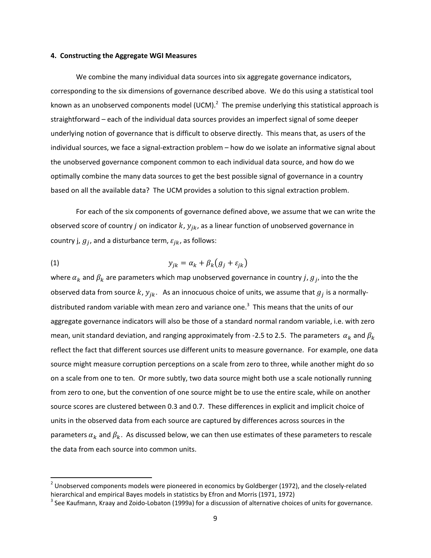#### **4. Constructing the Aggregate WGI Measures**

We combine the many individual data sources into six aggregate governance indicators, corresponding to the six dimensions of governance described above. We do this using a statistical tool known as an unobserved components model (UCM). $^2$  The premise underlying this statistical approach is straightforward – each of the individual data sources provides an imperfect signal of some deeper underlying notion of governance that is difficult to observe directly. This means that, as users of the individual sources, we face a signal‐extraction problem – how do we isolate an informative signal about the unobserved governance component common to each individual data source, and how do we optimally combine the many data sources to get the best possible signal of governance in a country based on all the available data? The UCM provides a solution to this signal extraction problem.

For each of the six components of governance defined above, we assume that we can write the observed score of country *j* on indicator  $k$ ,  $y_{ik}$ , as a linear function of unobserved governance in country j,  $g_i$ , and a disturbance term,  $\varepsilon_{ik}$ , as follows:

$$
y_{jk} = \alpha_k + \beta_k \big(g_j + \varepsilon_{jk}\big)
$$

where  $\alpha_k$  and  $\beta_k$  are parameters which map unobserved governance in country j,  $g_j$ , into the the observed data from source  $k$ ,  $y_{ik}$ . As an innocuous choice of units, we assume that  $g_i$  is a normallydistributed random variable with mean zero and variance one.<sup>3</sup> This means that the units of our aggregate governance indicators will also be those of a standard normal random variable, i.e. with zero mean, unit standard deviation, and ranging approximately from -2.5 to 2.5. The parameters  $\alpha_k$  and  $\beta_k$ reflect the fact that different sources use different units to measure governance. For example, one data source might measure corruption perceptions on a scale from zero to three, while another might do so on a scale from one to ten. Or more subtly, two data source might both use a scale notionally running from zero to one, but the convention of one source might be to use the entire scale, while on another source scores are clustered between 0.3 and 0.7. These differences in explicit and implicit choice of units in the observed data from each source are captured by differences across sources in the parameters  $\alpha_k$  and  $\beta_k$ . As discussed below, we can then use estimates of these parameters to rescale the data from each source into common units.

<sup>&</sup>lt;sup>2</sup> Unobserved components models were pioneered in economics by Goldberger (1972), and the closely-related hierarchical and empirical Bayes models in statistics by Efron and Morris (1971, 1972)<br><sup>3</sup> See Kaufmann, Kraay and Zoido-Lobaton (1999a) for a discussion of alternative choices of units for governance.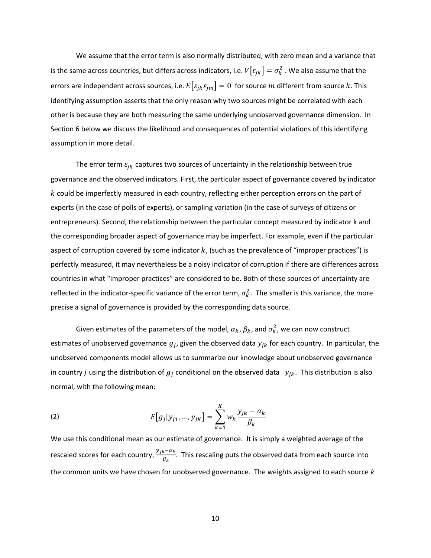We assume that the error term is also normally distributed, with zero mean and a variance that is the same across countries, but differs across indicators, i.e.  $V\big[\varepsilon_{jk}\big]=\sigma_k^2$  . We also assume that the errors are independent across sources, i.e.  $E[\varepsilon_{jk}\varepsilon_{jm}] = 0$  for source m different from source k. This identifying assumption asserts that the only reason why two sources might be correlated with each other is because they are both measuring the same underlying unobserved governance dimension. In Section 6 below we discuss the likelihood and consequences of potential violations of this identifying assumption in more detail.

The error term  $\varepsilon_{jk}$  captures two sources of uncertainty in the relationship between true governance and the observed indicators. First, the particular aspect of governance covered by indicator  $k$  could be imperfectly measured in each country, reflecting either perception errors on the part of experts (in the case of polls of experts), or sampling variation (in the case of surveys of citizens or entrepreneurs). Second, the relationship between the particular concept measured by indicator k and the corresponding broader aspect of governance may be imperfect. For example, even if the particular aspect of corruption covered by some indicator  $k$ , (such as the prevalence of "improper practices") is perfectly measured, it may nevertheless be a noisy indicator of corruption if there are differences across countries in what "improper practices" are considered to be. Both of these sources of uncertainty are reflected in the indicator-specific variance of the error term,  $\sigma_k^2$ . The smaller is this variance, the more precise a signal of governance is provided by the corresponding data source.

Given estimates of the parameters of the model,  $\alpha_k$ ,  $\beta_k$ , and  $\sigma_k^2$ , we can now construct estimates of unobserved governance  $g_j$ , given the observed data  $y_{jk}$  for each country. In particular, the unobserved components model allows us to summarize our knowledge about unobserved governance in country *j* using the distribution of  $g_i$  conditional on the observed data  $y_{ik}$ . This distribution is also normal, with the following mean:

(2) 
$$
E[g_j|y_{j1},...,y_{jK}] = \sum_{k=1}^{K} w_k \frac{y_{jk} - \alpha_k}{\beta_k}
$$

We use this conditional mean as our estimate of governance. It is simply a weighted average of the rescaled scores for each country,  $\frac{y_{jk}-a_k}{\beta_k}$ . This rescaling puts the observed data from each source into the common units we have chosen for unobserved governance. The weights assigned to each source  $k$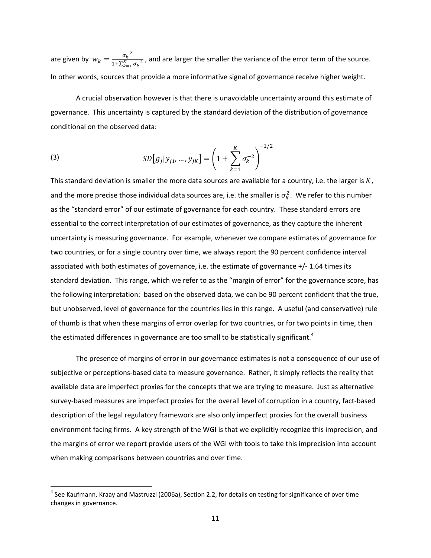are given by  $w_k = \frac{\sigma_k^{-2}}{1 + \nabla^K}$  $\frac{\sigma_k}{1+\sum_{k=1}^{K}\sigma_k^{-2}}$ , and are larger the smaller the variance of the error term of the source. In other words, sources that provide a more informative signal of governance receive higher weight.

A crucial observation however is that there is unavoidable uncertainty around this estimate of governance. This uncertainty is captured by the standard deviation of the distribution of governance conditional on the observed data:

(3) 
$$
SD[g_j|y_{j1},...,y_{jK}] = \left(1 + \sum_{k=1}^{K} \sigma_k^{-2}\right)^{-1/2}
$$

This standard deviation is smaller the more data sources are available for a country, i.e. the larger is  $K$ , and the more precise those individual data sources are, i.e. the smaller is  $\sigma_k^2$ . We refer to this number as the "standard error" of our estimate of governance for each country. These standard errors are essential to the correct interpretation of our estimates of governance, as they capture the inherent uncertainty is measuring governance. For example, whenever we compare estimates of governance for two countries, or for a single country over time, we always report the 90 percent confidence interval associated with both estimates of governance, i.e. the estimate of governance +/- 1.64 times its standard deviation. This range, which we refer to as the "margin of error" for the governance score, has the following interpretation: based on the observed data, we can be 90 percent confident that the true, but unobserved, level of governance for the countries lies in this range. A useful (and conservative) rule of thumb is that when these margins of error overlap for two countries, or for two points in time, then the estimated differences in governance are too small to be statistically significant.<sup>4</sup>

The presence of margins of error in our governance estimates is not a consequence of our use of subjective or perceptions-based data to measure governance. Rather, it simply reflects the reality that available data are imperfect proxies for the concepts that we are trying to measure. Just as alternative survey-based measures are imperfect proxies for the overall level of corruption in a country, fact-based description of the legal regulatory framework are also only imperfect proxies for the overall business environment facing firms. A key strength of the WGI is that we explicitly recognize this imprecision, and the margins of error we report provide users of the WGI with tools to take this imprecision into account when making comparisons between countries and over time.

 $4$  See Kaufmann, Kraay and Mastruzzi (2006a), Section 2.2, for details on testing for significance of over time changes in governance.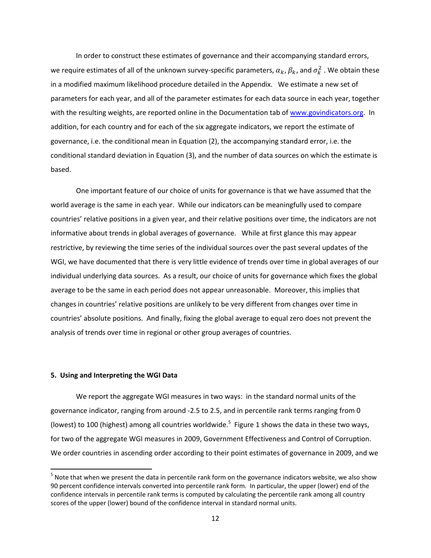In order to construct these estimates of governance and their accompanying standard errors, we require estimates of all of the unknown survey-specific parameters,  $\alpha_k$ ,  $\beta_k$ , and  $\sigma_k^2$  . We obtain these in a modified maximum likelihood procedure detailed in the Appendix. We estimate a new set of parameters for each year, and all of the parameter estimates for each data source in each year, together with the resulting weights, are reported online in the Documentation tab of www.govindicators.org. In addition, for each country and for each of the six aggregate indicators, we report the estimate of governance, i.e. the conditional mean in Equation (2), the accompanying standard error, i.e. the conditional standard deviation in Equation (3), and the number of data sources on which the estimate is based.

One important feature of our choice of units for governance is that we have assumed that the world average is the same in each year. While our indicators can be meaningfully used to compare countries' relative positions in a given year, and their relative positions over time, the indicators are not informative about trends in global averages of governance. While at first glance this may appear restrictive, by reviewing the time series of the individual sources over the past several updates of the WGI, we have documented that there is very little evidence of trends over time in global averages of our individual underlying data sources. As a result, our choice of units for governance which fixes the global average to be the same in each period does not appear unreasonable. Moreover, this implies that changes in countries' relative positions are unlikely to be very different from changes over time in countries' absolute positions. And finally, fixing the global average to equal zero does not prevent the analysis of trends over time in regional or other group averages of countries.

#### **5. Using and Interpreting the WGI Data**

We report the aggregate WGI measures in two ways: in the standard normal units of the governance indicator, ranging from around ‐2.5 to 2.5, and in percentile rank terms ranging from 0 (lowest) to 100 (highest) among all countries worldwide.<sup>5</sup> Figure 1 shows the data in these two ways, for two of the aggregate WGI measures in 2009, Government Effectiveness and Control of Corruption. We order countries in ascending order according to their point estimates of governance in 2009, and we

 $<sup>5</sup>$  Note that when we present the data in percentile rank form on the governance indicators website, we also show</sup> 90 percent confidence intervals converted into percentile rank form. In particular, the upper (lower) end of the confidence intervals in percentile rank terms is computed by calculating the percentile rank among all country scores of the upper (lower) bound of the confidence interval in standard normal units.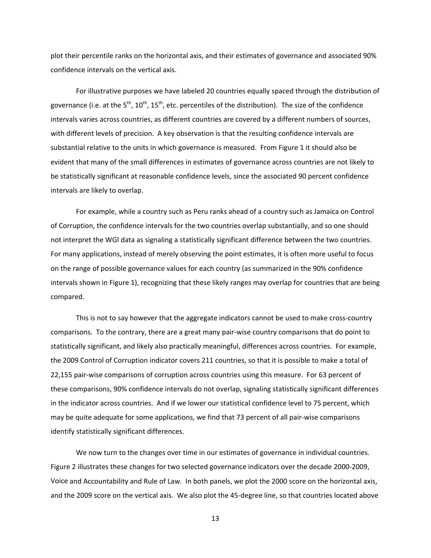plot their percentile ranks on the horizontal axis, and their estimates of governance and associated 90% confidence intervals on the vertical axis.

For illustrative purposes we have labeled 20 countries equally spaced through the distribution of governance (i.e. at the  $5<sup>th</sup>$ ,  $10<sup>th</sup>$ ,  $15<sup>th</sup>$ , etc. percentiles of the distribution). The size of the confidence intervals varies across countries, as different countries are covered by a different numbers of sources, with different levels of precision. A key observation is that the resulting confidence intervals are substantial relative to the units in which governance is measured. From Figure 1 it should also be evident that many of the small differences in estimates of governance across countries are not likely to be statistically significant at reasonable confidence levels, since the associated 90 percent confidence intervals are likely to overlap.

For example, while a country such as Peru ranks ahead of a country such as Jamaica on Control of Corruption, the confidence intervals for the two countries overlap substantially, and so one should not interpret the WGI data as signaling a statistically significant difference between the two countries. For many applications, instead of merely observing the point estimates, it is often more useful to focus on the range of possible governance values for each country (as summarized in the 90% confidence intervals shown in Figure 1), recognizing that these likely ranges may overlap for countries that are being compared.

This is not to say however that the aggregate indicators cannot be used to make cross-country comparisons. To the contrary, there are a great many pair‐wise country comparisons that do point to statistically significant, and likely also practically meaningful, differences across countries. For example, the 2009 Control of Corruption indicator covers 211 countries, so that it is possible to make a total of 22,155 pair-wise comparisons of corruption across countries using this measure. For 63 percent of these comparisons, 90% confidence intervals do not overlap, signaling statistically significant differences in the indicator across countries. And if we lower our statistical confidence level to 75 percent, which may be quite adequate for some applications, we find that 73 percent of all pair‐wise comparisons identify statistically significant differences.

We now turn to the changes over time in our estimates of governance in individual countries. Figure 2 illustrates these changes for two selected governance indicators over the decade 2000‐2009, Voice and Accountability and Rule of Law. In both panels, we plot the 2000 score on the horizontal axis, and the 2009 score on the vertical axis. We also plot the 45-degree line, so that countries located above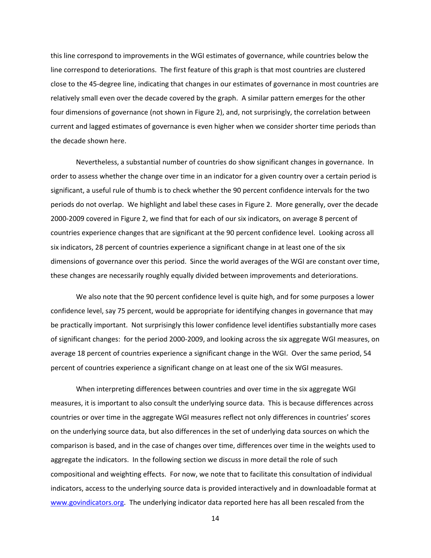this line correspond to improvements in the WGI estimates of governance, while countries below the line correspond to deteriorations. The first feature of this graph is that most countries are clustered close to the 45‐degree line, indicating that changes in our estimates of governance in most countries are relatively small even over the decade covered by the graph. A similar pattern emerges for the other four dimensions of governance (not shown in Figure 2), and, not surprisingly, the correlation between current and lagged estimates of governance is even higher when we consider shorter time periods than the decade shown here.

Nevertheless, a substantial number of countries do show significant changes in governance. In order to assess whether the change over time in an indicator for a given country over a certain period is significant, a useful rule of thumb is to check whether the 90 percent confidence intervals for the two periods do not overlap. We highlight and label these cases in Figure 2. More generally, over the decade 2000‐2009 covered in Figure 2, we find that for each of our six indicators, on average 8 percent of countries experience changes that are significant at the 90 percent confidence level. Looking across all six indicators, 28 percent of countries experience a significant change in at least one of the six dimensions of governance over this period. Since the world averages of the WGI are constant over time, these changes are necessarily roughly equally divided between improvements and deteriorations.

We also note that the 90 percent confidence level is quite high, and for some purposes a lower confidence level, say 75 percent, would be appropriate for identifying changes in governance that may be practically important. Not surprisingly this lower confidence level identifies substantially more cases of significant changes: for the period 2000‐2009, and looking across the six aggregate WGI measures, on average 18 percent of countries experience a significant change in the WGI. Over the same period, 54 percent of countries experience a significant change on at least one of the six WGI measures.

When interpreting differences between countries and over time in the six aggregate WGI measures, it is important to also consult the underlying source data. This is because differences across countries or over time in the aggregate WGI measures reflect not only differences in countries' scores on the underlying source data, but also differences in the set of underlying data sources on which the comparison is based, and in the case of changes over time, differences over time in the weights used to aggregate the indicators. In the following section we discuss in more detail the role of such compositional and weighting effects. For now, we note that to facilitate this consultation of individual indicators, access to the underlying source data is provided interactively and in downloadable format at www.govindicators.org. The underlying indicator data reported here has all been rescaled from the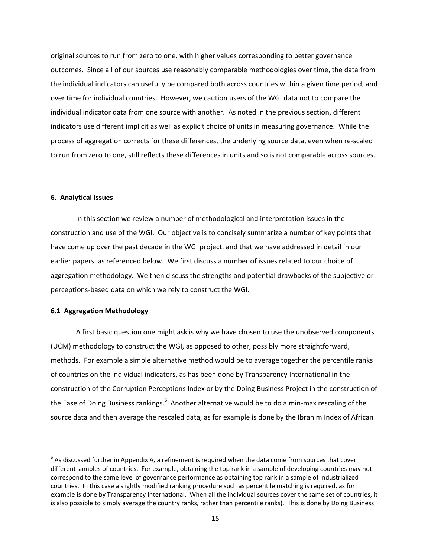original sources to run from zero to one, with higher values corresponding to better governance outcomes. Since all of our sources use reasonably comparable methodologies over time, the data from the individual indicators can usefully be compared both across countries within a given time period, and over time for individual countries. However, we caution users of the WGI data not to compare the individual indicator data from one source with another. As noted in the previous section, different indicators use different implicit as well as explicit choice of units in measuring governance. While the process of aggregation corrects for these differences, the underlying source data, even when re‐scaled to run from zero to one, still reflects these differences in units and so is not comparable across sources.

#### **6. Analytical Issues**

In this section we review a number of methodological and interpretation issues in the construction and use of the WGI. Our objective is to concisely summarize a number of key points that have come up over the past decade in the WGI project, and that we have addressed in detail in our earlier papers, as referenced below. We first discuss a number of issues related to our choice of aggregation methodology. We then discuss the strengths and potential drawbacks of the subjective or perceptions‐based data on which we rely to construct the WGI.

#### **6.1 Aggregation Methodology**

A first basic question one might ask is why we have chosen to use the unobserved components (UCM) methodology to construct the WGI, as opposed to other, possibly more straightforward, methods. For example a simple alternative method would be to average together the percentile ranks of countries on the individual indicators, as has been done by Transparency International in the construction of the Corruption Perceptions Index or by the Doing Business Project in the construction of the Ease of Doing Business rankings.<sup>6</sup> Another alternative would be to do a min-max rescaling of the source data and then average the rescaled data, as for example is done by the Ibrahim Index of African

 $6$  As discussed further in Appendix A, a refinement is required when the data come from sources that cover different samples of countries. For example, obtaining the top rank in a sample of developing countries may not correspond to the same level of governance performance as obtaining top rank in a sample of industrialized countries. In this case a slightly modified ranking procedure such as percentile matching is required, as for example is done by Transparency International. When all the individual sources cover the same set of countries, it is also possible to simply average the country ranks, rather than percentile ranks). This is done by Doing Business.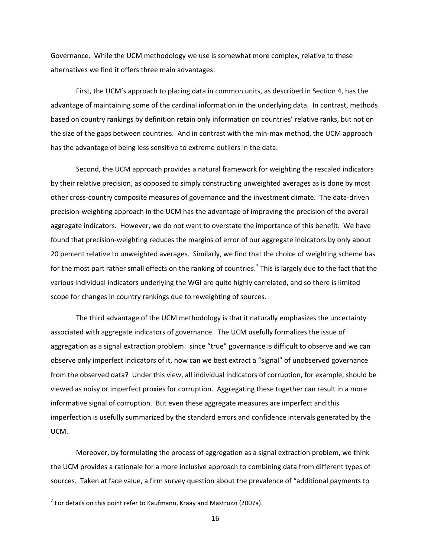Governance. While the UCM methodology we use is somewhat more complex, relative to these alternatives we find it offers three main advantages.

First, the UCM's approach to placing data in common units, as described in Section 4, has the advantage of maintaining some of the cardinal information in the underlying data. In contrast, methods based on country rankings by definition retain only information on countries' relative ranks, but not on the size of the gaps between countries. And in contrast with the min‐max method, the UCM approach has the advantage of being less sensitive to extreme outliers in the data.

Second, the UCM approach provides a natural framework for weighting the rescaled indicators by their relative precision, as opposed to simply constructing unweighted averages as is done by most other cross-country composite measures of governance and the investment climate. The data-driven precision‐weighting approach in the UCM has the advantage of improving the precision of the overall aggregate indicators. However, we do not want to overstate the importance of this benefit. We have found that precision‐weighting reduces the margins of error of our aggregate indicators by only about 20 percent relative to unweighted averages. Similarly, we find that the choice of weighting scheme has for the most part rather small effects on the ranking of countries.<sup>7</sup> This is largely due to the fact that the various individual indicators underlying the WGI are quite highly correlated, and so there is limited scope for changes in country rankings due to reweighting of sources.

The third advantage of the UCM methodology is that it naturally emphasizes the uncertainty associated with aggregate indicators of governance. The UCM usefully formalizes the issue of aggregation as a signal extraction problem: since "true" governance is difficult to observe and we can observe only imperfect indicators of it, how can we best extract a "signal" of unobserved governance from the observed data? Under this view, all individual indicators of corruption, for example, should be viewed as noisy or imperfect proxies for corruption. Aggregating these together can result in a more informative signal of corruption. But even these aggregate measures are imperfect and this imperfection is usefully summarized by the standard errors and confidence intervals generated by the UCM.

Moreover, by formulating the process of aggregation as a signal extraction problem, we think the UCM provides a rationale for a more inclusive approach to combining data from different types of sources. Taken at face value, a firm survey question about the prevalence of "additional payments to

 $<sup>7</sup>$  For details on this point refer to Kaufmann, Kraay and Mastruzzi (2007a).</sup>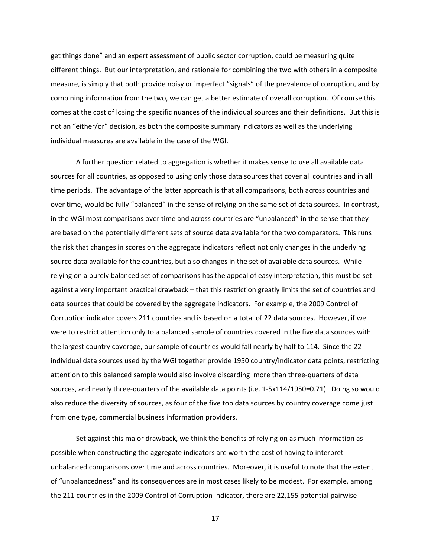get things done" and an expert assessment of public sector corruption, could be measuring quite different things. But our interpretation, and rationale for combining the two with others in a composite measure, is simply that both provide noisy or imperfect "signals" of the prevalence of corruption, and by combining information from the two, we can get a better estimate of overall corruption. Of course this comes at the cost of losing the specific nuances of the individual sources and their definitions. But this is not an "either/or" decision, as both the composite summary indicators as well as the underlying individual measures are available in the case of the WGI.

A further question related to aggregation is whether it makes sense to use all available data sources for all countries, as opposed to using only those data sources that cover all countries and in all time periods. The advantage of the latter approach is that all comparisons, both across countries and over time, would be fully "balanced" in the sense of relying on the same set of data sources. In contrast, in the WGI most comparisons over time and across countries are "unbalanced" in the sense that they are based on the potentially different sets of source data available for the two comparators. This runs the risk that changes in scores on the aggregate indicators reflect not only changes in the underlying source data available for the countries, but also changes in the set of available data sources. While relying on a purely balanced set of comparisons has the appeal of easy interpretation, this must be set against a very important practical drawback – that this restriction greatly limits the set of countries and data sources that could be covered by the aggregate indicators. For example, the 2009 Control of Corruption indicator covers 211 countries and is based on a total of 22 data sources. However, if we were to restrict attention only to a balanced sample of countries covered in the five data sources with the largest country coverage, our sample of countries would fall nearly by half to 114. Since the 22 individual data sources used by the WGI together provide 1950 country/indicator data points, restricting attention to this balanced sample would also involve discarding more than three‐quarters of data sources, and nearly three-quarters of the available data points (i.e. 1-5x114/1950=0.71). Doing so would also reduce the diversity of sources, as four of the five top data sources by country coverage come just from one type, commercial business information providers.

Set against this major drawback, we think the benefits of relying on as much information as possible when constructing the aggregate indicators are worth the cost of having to interpret unbalanced comparisons over time and across countries. Moreover, it is useful to note that the extent of "unbalancedness" and its consequences are in most cases likely to be modest. For example, among the 211 countries in the 2009 Control of Corruption Indicator, there are 22,155 potential pairwise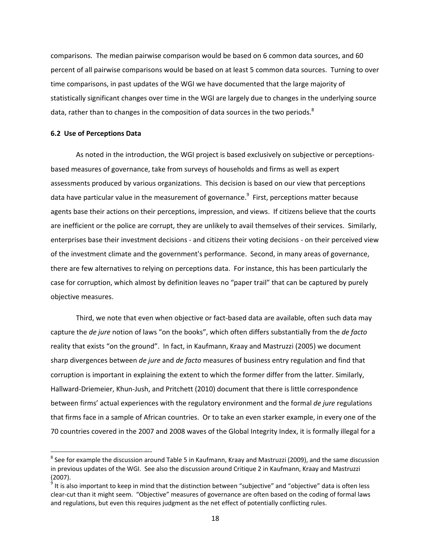comparisons. The median pairwise comparison would be based on 6 common data sources, and 60 percent of all pairwise comparisons would be based on at least 5 common data sources. Turning to over time comparisons, in past updates of the WGI we have documented that the large majority of statistically significant changes over time in the WGI are largely due to changes in the underlying source data, rather than to changes in the composition of data sources in the two periods. $8$ 

#### **6.2 Use of Perceptions Data**

As noted in the introduction, the WGI project is based exclusively on subjective or perceptions‐ based measures of governance, take from surveys of households and firms as well as expert assessments produced by various organizations. This decision is based on our view that perceptions data have particular value in the measurement of governance.<sup>9</sup> First, perceptions matter because agents base their actions on their perceptions, impression, and views. If citizens believe that the courts are inefficient or the police are corrupt, they are unlikely to avail themselves of their services. Similarly, enterprises base their investment decisions - and citizens their voting decisions - on their perceived view of the investment climate and the government's performance. Second, in many areas of governance, there are few alternatives to relying on perceptions data. For instance, this has been particularly the case for corruption, which almost by definition leaves no "paper trail" that can be captured by purely objective measures.

Third, we note that even when objective or fact‐based data are available, often such data may capture the *de jure* notion of laws "on the books", which often differs substantially from the *de facto* reality that exists "on the ground". In fact, in Kaufmann, Kraay and Mastruzzi (2005) we document sharp divergences between *de jure* and *de facto* measures of business entry regulation and find that corruption is important in explaining the extent to which the former differ from the latter. Similarly, Hallward‐Driemeier, Khun‐Jush, and Pritchett (2010) document that there is little correspondence between firms' actual experiences with the regulatory environment and the formal *de jure* regulations that firms face in a sample of African countries. Or to take an even starker example, in every one of the 70 countries covered in the 2007 and 2008 waves of the Global Integrity Index, it is formally illegal for a

 $8$  See for example the discussion around Table 5 in Kaufmann, Kraay and Mastruzzi (2009), and the same discussion in previous updates of the WGI. See also the discussion around Critique 2 in Kaufmann, Kraay and Mastruzzi (2007).

 $9$  It is also important to keep in mind that the distinction between "subjective" and "objective" data is often less clear‐cut than it might seem. "Objective" measures of governance are often based on the coding of formal laws and regulations, but even this requires judgment as the net effect of potentially conflicting rules.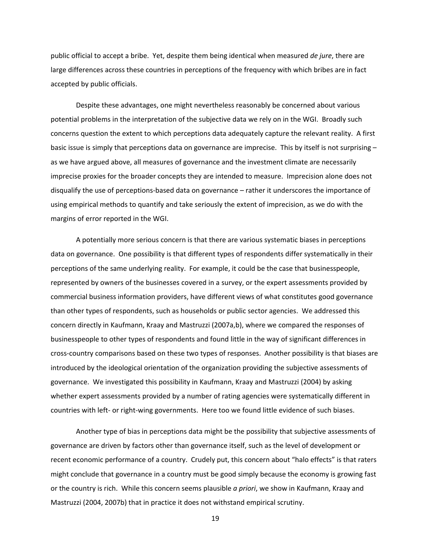public official to accept a bribe. Yet, despite them being identical when measured *de jure*, there are large differences across these countries in perceptions of the frequency with which bribes are in fact accepted by public officials.

Despite these advantages, one might nevertheless reasonably be concerned about various potential problems in the interpretation of the subjective data we rely on in the WGI. Broadly such concerns question the extent to which perceptions data adequately capture the relevant reality. A first basic issue is simply that perceptions data on governance are imprecise. This by itself is not surprising – as we have argued above, all measures of governance and the investment climate are necessarily imprecise proxies for the broader concepts they are intended to measure. Imprecision alone does not disqualify the use of perceptions‐based data on governance – rather it underscores the importance of using empirical methods to quantify and take seriously the extent of imprecision, as we do with the margins of error reported in the WGI.

A potentially more serious concern is that there are various systematic biases in perceptions data on governance. One possibility is that different types of respondents differ systematically in their perceptions of the same underlying reality. For example, it could be the case that businesspeople, represented by owners of the businesses covered in a survey, or the expert assessments provided by commercial business information providers, have different views of what constitutes good governance than other types of respondents, such as households or public sector agencies. We addressed this concern directly in Kaufmann, Kraay and Mastruzzi (2007a,b), where we compared the responses of businesspeople to other types of respondents and found little in the way of significant differences in cross‐country comparisons based on these two types of responses. Another possibility is that biases are introduced by the ideological orientation of the organization providing the subjective assessments of governance. We investigated this possibility in Kaufmann, Kraay and Mastruzzi (2004) by asking whether expert assessments provided by a number of rating agencies were systematically different in countries with left- or right-wing governments. Here too we found little evidence of such biases.

Another type of bias in perceptions data might be the possibility that subjective assessments of governance are driven by factors other than governance itself, such as the level of development or recent economic performance of a country. Crudely put, this concern about "halo effects" is that raters might conclude that governance in a country must be good simply because the economy is growing fast or the country is rich. While this concern seems plausible *a priori*, we show in Kaufmann, Kraay and Mastruzzi (2004, 2007b) that in practice it does not withstand empirical scrutiny.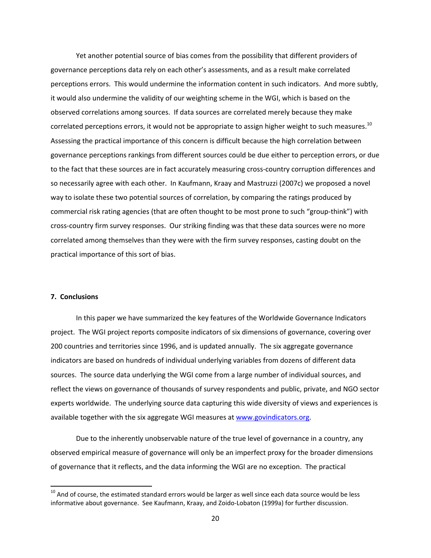Yet another potential source of bias comes from the possibility that different providers of governance perceptions data rely on each other's assessments, and as a result make correlated perceptions errors. This would undermine the information content in such indicators. And more subtly, it would also undermine the validity of our weighting scheme in the WGI, which is based on the observed correlations among sources. If data sources are correlated merely because they make correlated perceptions errors, it would not be appropriate to assign higher weight to such measures.<sup>10</sup> Assessing the practical importance of this concern is difficult because the high correlation between governance perceptions rankings from different sources could be due either to perception errors, or due to the fact that these sources are in fact accurately measuring cross‐country corruption differences and so necessarily agree with each other. In Kaufmann, Kraay and Mastruzzi (2007c) we proposed a novel way to isolate these two potential sources of correlation, by comparing the ratings produced by commercial risk rating agencies (that are often thought to be most prone to such "group-think") with cross‐country firm survey responses. Our striking finding was that these data sources were no more correlated among themselves than they were with the firm survey responses, casting doubt on the practical importance of this sort of bias.

#### **7. Conclusions**

In this paper we have summarized the key features of the Worldwide Governance Indicators project. The WGI project reports composite indicators of six dimensions of governance, covering over 200 countries and territories since 1996, and is updated annually. The six aggregate governance indicators are based on hundreds of individual underlying variables from dozens of different data sources. The source data underlying the WGI come from a large number of individual sources, and reflect the views on governance of thousands of survey respondents and public, private, and NGO sector experts worldwide. The underlying source data capturing this wide diversity of views and experiences is available together with the six aggregate WGI measures at www.govindicators.org.

Due to the inherently unobservable nature of the true level of governance in a country, any observed empirical measure of governance will only be an imperfect proxy for the broader dimensions of governance that it reflects, and the data informing the WGI are no exception. The practical

 $10$  And of course, the estimated standard errors would be larger as well since each data source would be less informative about governance. See Kaufmann, Kraay, and Zoido‐Lobaton (1999a) for further discussion.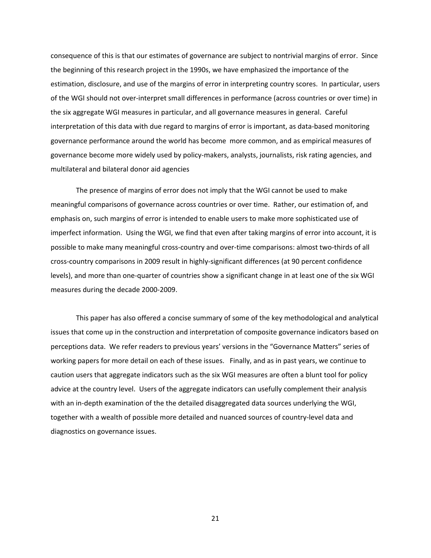consequence of this is that our estimates of governance are subject to nontrivial margins of error. Since the beginning of this research project in the 1990s, we have emphasized the importance of the estimation, disclosure, and use of the margins of error in interpreting country scores. In particular, users of the WGI should not over‐interpret small differences in performance (across countries or over time) in the six aggregate WGI measures in particular, and all governance measures in general. Careful interpretation of this data with due regard to margins of error is important, as data-based monitoring governance performance around the world has become more common, and as empirical measures of governance become more widely used by policy‐makers, analysts, journalists, risk rating agencies, and multilateral and bilateral donor aid agencies

The presence of margins of error does not imply that the WGI cannot be used to make meaningful comparisons of governance across countries or over time. Rather, our estimation of, and emphasis on, such margins of error is intended to enable users to make more sophisticated use of imperfect information. Using the WGI, we find that even after taking margins of error into account, it is possible to make many meaningful cross‐country and over‐time comparisons: almost two‐thirds of all cross‐country comparisons in 2009 result in highly‐significant differences (at 90 percent confidence levels), and more than one‐quarter of countries show a significant change in at least one of the six WGI measures during the decade 2000‐2009.

This paper has also offered a concise summary of some of the key methodological and analytical issues that come up in the construction and interpretation of composite governance indicators based on perceptions data. We refer readers to previous years' versions in the "Governance Matters" series of working papers for more detail on each of these issues. Finally, and as in past years, we continue to caution users that aggregate indicators such as the six WGI measures are often a blunt tool for policy advice at the country level. Users of the aggregate indicators can usefully complement their analysis with an in-depth examination of the the detailed disaggregated data sources underlying the WGI, together with a wealth of possible more detailed and nuanced sources of country‐level data and diagnostics on governance issues.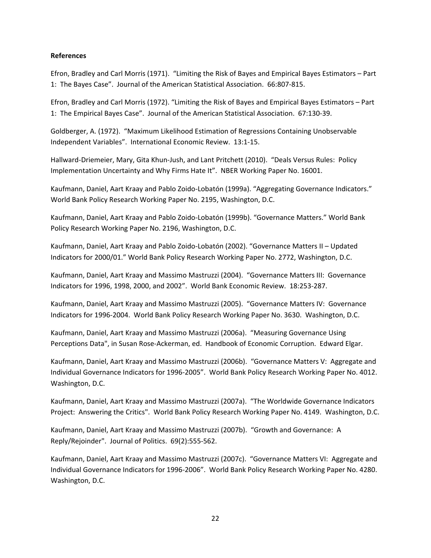#### **References**

Efron, Bradley and Carl Morris (1971). "Limiting the Risk of Bayes and Empirical Bayes Estimators – Part 1: The Bayes Case". Journal of the American Statistical Association. 66:807‐815.

Efron, Bradley and Carl Morris (1972). "Limiting the Risk of Bayes and Empirical Bayes Estimators – Part 1: The Empirical Bayes Case". Journal of the American Statistical Association. 67:130‐39.

Goldberger, A. (1972). "Maximum Likelihood Estimation of Regressions Containing Unobservable Independent Variables". International Economic Review. 13:1‐15.

Hallward‐Driemeier, Mary, Gita Khun‐Jush, and Lant Pritchett (2010). "Deals Versus Rules: Policy Implementation Uncertainty and Why Firms Hate It". NBER Working Paper No. 16001.

Kaufmann, Daniel, Aart Kraay and Pablo Zoido‐Lobatón (1999a). "Aggregating Governance Indicators." World Bank Policy Research Working Paper No. 2195, Washington, D.C.

Kaufmann, Daniel, Aart Kraay and Pablo Zoido‐Lobatón (1999b). "Governance Matters." World Bank Policy Research Working Paper No. 2196, Washington, D.C.

Kaufmann, Daniel, Aart Kraay and Pablo Zoido‐Lobatón (2002). "Governance Matters II – Updated Indicators for 2000/01." World Bank Policy Research Working Paper No. 2772, Washington, D.C.

Kaufmann, Daniel, Aart Kraay and Massimo Mastruzzi (2004). "Governance Matters III: Governance Indicators for 1996, 1998, 2000, and 2002". World Bank Economic Review. 18:253‐287.

Kaufmann, Daniel, Aart Kraay and Massimo Mastruzzi (2005). "Governance Matters IV: Governance Indicators for 1996‐2004. World Bank Policy Research Working Paper No. 3630. Washington, D.C.

Kaufmann, Daniel, Aart Kraay and Massimo Mastruzzi (2006a). "Measuring Governance Using Perceptions Data", in Susan Rose‐Ackerman, ed. Handbook of Economic Corruption. Edward Elgar.

Kaufmann, Daniel, Aart Kraay and Massimo Mastruzzi (2006b). "Governance Matters V: Aggregate and Individual Governance Indicators for 1996‐2005". World Bank Policy Research Working Paper No. 4012. Washington, D.C.

Kaufmann, Daniel, Aart Kraay and Massimo Mastruzzi (2007a). "The Worldwide Governance Indicators Project: Answering the Critics". World Bank Policy Research Working Paper No. 4149. Washington, D.C.

Kaufmann, Daniel, Aart Kraay and Massimo Mastruzzi (2007b). "Growth and Governance: A Reply/Rejoinder". Journal of Politics. 69(2):555‐562.

Kaufmann, Daniel, Aart Kraay and Massimo Mastruzzi (2007c). "Governance Matters VI: Aggregate and Individual Governance Indicators for 1996‐2006". World Bank Policy Research Working Paper No. 4280. Washington, D.C.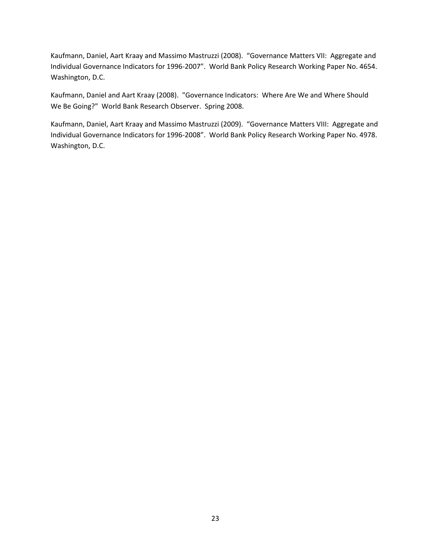Kaufmann, Daniel, Aart Kraay and Massimo Mastruzzi (2008). "Governance Matters VII: Aggregate and Individual Governance Indicators for 1996‐2007". World Bank Policy Research Working Paper No. 4654. Washington, D.C.

Kaufmann, Daniel and Aart Kraay (2008). "Governance Indicators: Where Are We and Where Should We Be Going?" World Bank Research Observer. Spring 2008.

Kaufmann, Daniel, Aart Kraay and Massimo Mastruzzi (2009). "Governance Matters VIII: Aggregate and Individual Governance Indicators for 1996‐2008". World Bank Policy Research Working Paper No. 4978. Washington, D.C.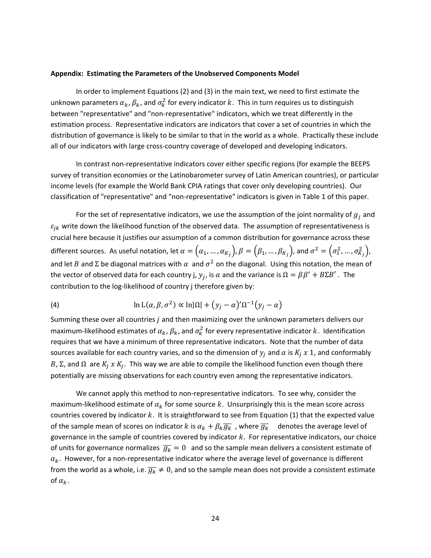#### **Appendix: Estimating the Parameters of the Unobserved Components Model**

In order to implement Equations (2) and (3) in the main text, we need to first estimate the unknown parameters  $\alpha_k$ ,  $\beta_k$ , and  $\sigma_k^2$  for every indicator  $k$ . This in turn requires us to distinguish between "representative" and "non‐representative" indicators, which we treat differently in the estimation process. Representative indicators are indicators that cover a set of countries in which the distribution of governance is likely to be similar to that in the world as a whole. Practically these include all of our indicators with large cross‐country coverage of developed and developing indicators.

In contrast non‐representative indicators cover either specific regions (for example the BEEPS survey of transition economies or the Latinobarometer survey of Latin American countries), or particular income levels (for example the World Bank CPIA ratings that cover only developing countries). Our classification of "representative" and "non‐representative" indicators is given in Table 1 of this paper.

For the set of representative indicators, we use the assumption of the joint normality of  $g_j$  and  $\varepsilon_{jk}$  write down the likelihood function of the observed data. The assumption of representativeness is crucial here because it justifies our assumption of a common distribution for governance across these different sources. As useful notation, let  $\alpha=(\alpha_1,...,\alpha_{K_j})$ ,  $\beta=(\beta_1,...,\beta_{K_j})$ , and  $\sigma^2=(\sigma_1^2,...,\sigma_{K_j}^2)$ , and let B and  $\Sigma$  be diagonal matrices with  $\alpha$  and  $\sigma^2$  on the diagonal. Using this notation, the mean of the vector of observed data for each country j,  $y_i$ , is  $\alpha$  and the variance is  $\Omega = \beta \beta' + B \Sigma B'$ . The contribution to the log-likelihood of country j therefore given by:

(4) 
$$
\ln L(\alpha, \beta, \sigma^2) \propto \ln |\Omega| + (y_j - \alpha)' \Omega^{-1} (y_j - \alpha)
$$

Summing these over all countries *j* and then maximizing over the unknown parameters delivers our maximum-likelihood estimates of  $\alpha_k$ ,  $\beta_k$ , and  $\sigma_k^2$  for every representative indicator  $k$ . Identification requires that we have a minimum of three representative indicators. Note that the number of data sources available for each country varies, and so the dimension of  $y_i$  and  $\alpha$  is  $K_i \times 1$ , and conformably B, Σ, and Ω are  $K_i$  x  $K_i$ . This way we are able to compile the likelihood function even though there potentially are missing observations for each country even among the representative indicators.

We cannot apply this method to non-representative indicators. To see why, consider the maximum-likelihood estimate of  $\alpha_k$  for some source k. Unsurprisingly this is the mean score across countries covered by indicator  $k$ . It is straightforward to see from Equation (1) that the expected value of the sample mean of scores on indicator k is  $\alpha_k + \beta_k \overline{g_k}$ , where  $\overline{g_k}$  denotes the average level of governance in the sample of countries covered by indicator  $k$ . For representative indicators, our choice of units for governance normalizes  $\overline{g_k} = 0$  and so the sample mean delivers a consistent estimate of  $\alpha_k$ . However, for a non-representative indicator where the average level of governance is different from the world as a whole, i.e.  $\overline{g_k} \neq 0$ , and so the sample mean does not provide a consistent estimate of  $\alpha_k$ .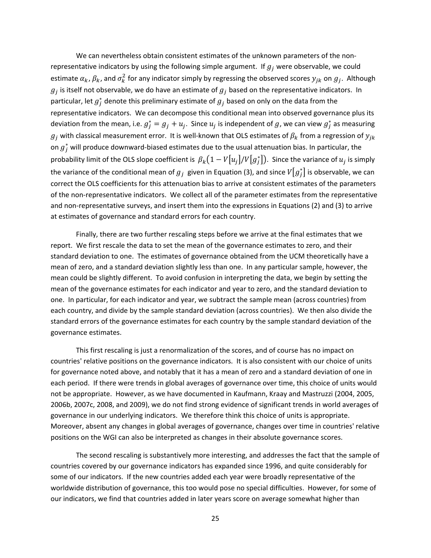We can nevertheless obtain consistent estimates of the unknown parameters of the nonrepresentative indicators by using the following simple argument. If  $g_i$  were observable, we could estimate  $\alpha_k$ ,  $\beta_k$ , and  $\sigma_k^2$  for any indicator simply by regressing the observed scores  $y_{jk}$  on  $g_j$ . Although  $g_j$  is itself not observable, we do have an estimate of  $g_j$  based on the representative indicators. In particular, let  $g_j^*$  denote this preliminary estimate of  $g_j$  based on only on the data from the representative indicators. We can decompose this conditional mean into observed governance plus its deviation from the mean, i.e.  $g_j^* = g_j + u_j$ . Since  $u_j$  is independent of  $g$ , we can view  $g_j^*$  as measuring  $g_j$  with classical measurement error. It is well-known that OLS estimates of  $\beta_k$  from a regression of  $y_{jk}$ on  $g_j^*$  will produce downward-biased estimates due to the usual attenuation bias. In particular, the probability limit of the OLS slope coefficient is  $\,\beta_k\big(1-V[u_j]/V\big[g_j^*\big]\!\big).\,$  Since the variance of  $u_j$  is simply the variance of the conditional mean of  $g_j\;$  given in Equation (3), and since  $V[g_j^*]$  is observable, we can correct the OLS coefficients for this attenuation bias to arrive at consistent estimates of the parameters of the non‐representative indicators. We collect all of the parameter estimates from the representative and non‐representative surveys, and insert them into the expressions in Equations (2) and (3) to arrive at estimates of governance and standard errors for each country.

Finally, there are two further rescaling steps before we arrive at the final estimates that we report. We first rescale the data to set the mean of the governance estimates to zero, and their standard deviation to one. The estimates of governance obtained from the UCM theoretically have a mean of zero, and a standard deviation slightly less than one. In any particular sample, however, the mean could be slightly different. To avoid confusion in interpreting the data, we begin by setting the mean of the governance estimates for each indicator and year to zero, and the standard deviation to one. In particular, for each indicator and year, we subtract the sample mean (across countries) from each country, and divide by the sample standard deviation (across countries). We then also divide the standard errors of the governance estimates for each country by the sample standard deviation of the governance estimates.

This first rescaling is just a renormalization of the scores, and of course has no impact on countries' relative positions on the governance indicators. It is also consistent with our choice of units for governance noted above, and notably that it has a mean of zero and a standard deviation of one in each period. If there were trends in global averages of governance over time, this choice of units would not be appropriate. However, as we have documented in Kaufmann, Kraay and Mastruzzi (2004, 2005, 2006b, 2007c, 2008, and 2009), we do not find strong evidence of significant trends in world averages of governance in our underlying indicators. We therefore think this choice of units is appropriate. Moreover, absent any changes in global averages of governance, changes over time in countries' relative positions on the WGI can also be interpreted as changes in their absolute governance scores.

The second rescaling is substantively more interesting, and addresses the fact that the sample of countries covered by our governance indicators has expanded since 1996, and quite considerably for some of our indicators. If the new countries added each year were broadly representative of the worldwide distribution of governance, this too would pose no special difficulties. However, for some of our indicators, we find that countries added in later years score on average somewhat higher than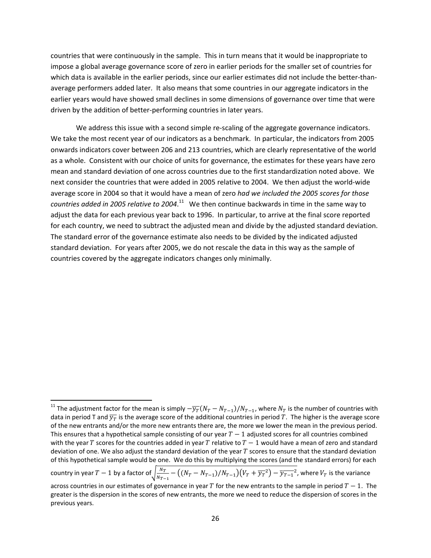countries that were continuously in the sample. This in turn means that it would be inappropriate to impose a global average governance score of zero in earlier periods for the smaller set of countries for which data is available in the earlier periods, since our earlier estimates did not include the better-thanaverage performers added later. It also means that some countries in our aggregate indicators in the earlier years would have showed small declines in some dimensions of governance over time that were driven by the addition of better‐performing countries in later years.

We address this issue with a second simple re-scaling of the aggregate governance indicators. We take the most recent year of our indicators as a benchmark. In particular, the indicators from 2005 onwards indicators cover between 206 and 213 countries, which are clearly representative of the world as a whole. Consistent with our choice of units for governance, the estimates for these years have zero mean and standard deviation of one across countries due to the first standardization noted above. We next consider the countries that were added in 2005 relative to 2004. We then adjust the world‐wide average score in 2004 so that it would have a mean of zero *had we included the 2005 scores for those countries added in 2005 relative to 2004*. <sup>11</sup> We then continue backwards in time in the same way to adjust the data for each previous year back to 1996. In particular, to arrive at the final score reported for each country, we need to subtract the adjusted mean and divide by the adjusted standard deviation. The standard error of the governance estimate also needs to be divided by the indicated adjusted standard deviation. For years after 2005, we do not rescale the data in this way as the sample of countries covered by the aggregate indicators changes only minimally.

 $^{11}$  The adjustment factor for the mean is simply  $-\overline{y_T}(N_T-N_{T-1})/N_{T-1}$ , where  $N_T$  is the number of countries with data in period T and  $\overline{y}_T$  is the average score of the additional countries in period T. The higher is the average score of the new entrants and/or the more new entrants there are, the more we lower the mean in the previous period. This ensures that a hypothetical sample consisting of our year  $T-1$  adjusted scores for all countries combined with the year T scores for the countries added in year T relative to  $T-1$  would have a mean of zero and standard deviation of one. We also adjust the standard deviation of the year  $T$  scores to ensure that the standard deviation of this hypothetical sample would be one. We do this by multiplying the scores (and the standard errors) for each country in year  $T-1$  by a factor of  $\sqrt{\frac{N_T}{N_{T-1}}-(N_T-N_{T-1})/N_{T-1}}(V_T+\overline{y_T}^2)-\overline{y_{T-1}}^2$ , where  $V_T$  is the variance

across countries in our estimates of governance in year T for the new entrants to the sample in period  $T-1$ . The greater is the dispersion in the scores of new entrants, the more we need to reduce the dispersion of scores in the previous years.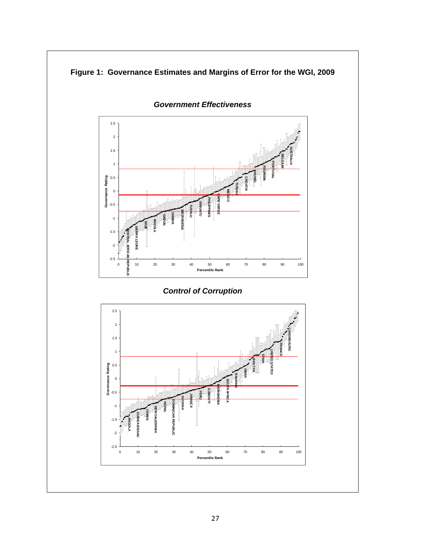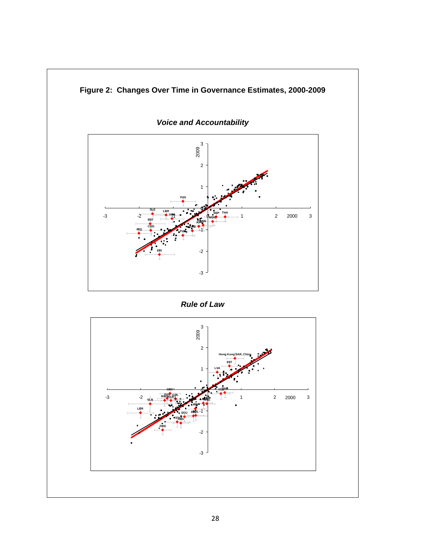